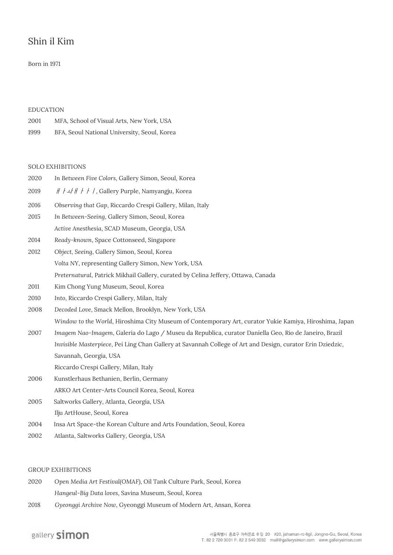# Shin il Kim

## Born in 1971

#### **EDUCATION**

| 2001 | MFA, School of Visual Arts, New York, USA    |
|------|----------------------------------------------|
| 1999 | BFA, Seoul National University, Seoul, Korea |

#### **SOLO EXHIBITIONS**

| 2020 | In Between Five Colors, Gallery Simon, Seoul, Korea                                                        |
|------|------------------------------------------------------------------------------------------------------------|
| 2019 | $H / LH$ / / /, Gallery Purple, Namyangju, Korea                                                           |
| 2016 | Observing that Gap, Riccardo Crespi Gallery, Milan, Italy                                                  |
| 2015 | In Between-Seeing, Gallery Simon, Seoul, Korea                                                             |
|      | Active Anesthesia, SCAD Museum, Georgia, USA                                                               |
| 2014 | Ready-known, Space Cottonseed, Singapore                                                                   |
| 2012 | Object, Seeing, Gallery Simon, Seoul, Korea                                                                |
|      | Volta NY, representing Gallery Simon, New York, USA                                                        |
|      | Preternatural, Patrick Mikhail Gallery, curated by Celina Jeffery, Ottawa, Canada                          |
| 2011 | Kim Chong Yung Museum, Seoul, Korea                                                                        |
| 2010 | Into, Riccardo Crespi Gallery, Milan, Italy                                                                |
| 2008 | Decoded Love, Smack Mellon, Brooklyn, New York, USA                                                        |
|      | Window to the World, Hiroshima City Museum of Contemporary Art, curator Yukie Kamiya, Hiroshima, Japan     |
| 2007 | Imagem Nao-Imagem, Galeria do Lago / Museu da Republica, curator Daniella Geo, Rio de Janeiro, Brazil      |
|      | Invisible Masterpiece, Pei Ling Chan Gallery at Savannah College of Art and Design, curator Erin Dziedzic, |
|      | Savannah, Georgia, USA                                                                                     |
|      | Riccardo Crespi Gallery, Milan, Italy                                                                      |
| 2006 | Kunstlerhaus Bethanien, Berlin, Germany                                                                    |
|      | ARKO Art Center-Arts Council Korea, Seoul, Korea                                                           |
| 2005 | Saltworks Gallery, Atlanta, Georgia, USA                                                                   |
|      | Ilju ArtHouse, Seoul, Korea                                                                                |
|      |                                                                                                            |

- 2004 Insa Art Space-the Korean Culture and Arts Foundation, Seoul, Korea
- 2002 Atlanta, Saltworks Gallery, Georgia, USA

#### **GROUP EXHIBITIONS**

| 2020 | Open Media Art Festival (OMAF), Oil Tank Culture Park, Seoul, Korea |
|------|---------------------------------------------------------------------|
|      | Hangeul-Big Data loves, Savina Museum, Seoul, Korea                 |

2018 *Gyeonggi Archive Now*, Gyeonggi Museum of Modern Art, Ansan, Korea

# gallery simon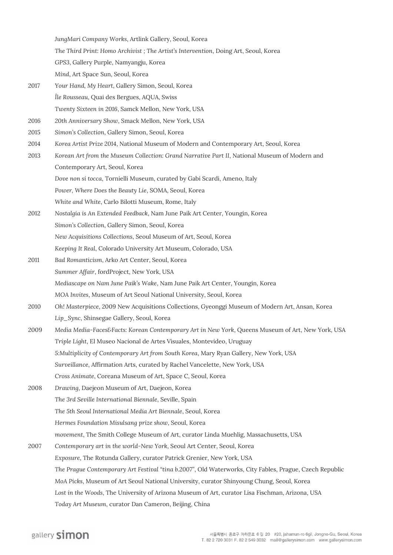*JungMari Company Works*, Artlink Gallery, Seoul, Korea

*The Third Print: Homo Archivist ; The Artist's Intervention*, Doing Art, Seoul, Korea

*GPS3*, Gallery Purple, Namyangju, Korea

*Mind*, Art Space Sun, Seoul, Korea

2017 *Your Hand, My Heart*, Gallery Simon, Seoul, Korea *Île Rousseau*, Quai des Bergues, AQUA, Swiss *Twenty Sixteen in 2016*, Samck Mellon, New York, USA

2016 *20th Anniversary Show*, Smack Mellon, New York, USA

- 2015 *Simon's Collection*, Gallery Simon, Seoul, Korea
- 2014 *Korea Artist Prize 2014*, National Museum of Modern and Contemporary Art, Seoul, Korea
- 2013 *Korean Art from the Museum Collection: Grand Narrative Part II*, National Museum of Modern and Contemporary Art, Seoul, Korea
	- *Dove non si tocca*, Tornielli Museum, curated by Gabi Scardi, Ameno, Italy

*Power, Where Does the Beauty Lie*, SOMA, Seoul, Korea

*White and White*, Carlo Bilotti Museum, Rome, Italy

- 2012 *Nostalgia is An Extended Feedback*, Nam June Paik Art Center, Youngin, Korea *Simon's Collection*, Gallery Simon, Seoul, Korea *New Acquisitions Collections*, Seoul Museum of Art, Seoul, Korea *Keeping It Real*, Colorado University Art Museum, Colorado, USA
- 2011 *Bad Romanticism*, Arko Art Center, Seoul, Korea *Summer Affair*, fordProject, New York, USA *Mediascape on Nam June Paik's Wake*, Nam June Paik Art Center, Youngin, Korea *MOA Invites*, Museum of Art Seoul National University, Seoul, Korea
- 2010 *Oh! Masterpiece*, 2009 New Acquisitions Collections, Gyeonggi Museum of Modern Art, Ansan, Korea *Lip\_Sync*, Shinsegae Gallery, Seoul, Korea
- 2009 *Media Media-Faces&Facts: Korean Contemporary Art in New York*, Queens Museum of Art, New York, USA *Triple Light*, El Museo Nacional de Artes Visuales, Montevideo, Uruguay *5:Multiplicity of Contemporary Art from South Korea*, Mary Ryan Gallery, New York, USA *Surveillance*, Affirmation Arts, curated by Rachel Vancelette, New York, USA *Cross Animate*, Coreana Museum of Art, Space C, Seoul, Korea

2008 *Drawing*, Daejeon Museum of Art, Daejeon, Korea *The 3rd Seville International Biennale*, Seville, Spain *The 5th Seoul International Media Art Biennale*, Seoul, Korea *Hermes Foundation Misulsang prize show*, Seoul, Korea *movement*, The Smith College Museum of Art, curator Linda Muehlig, Massachusetts, USA 2007 *Contemporary art in the world-New York*, Seoul Art Center, Seoul, Korea *Exposure*, The Rotunda Gallery, curator Patrick Grenier, New York, USA

*The Prague Contemporary Art Festival "tina b.2007"*, Old Waterworks, City Fables, Prague, Czech Republic *MoA Picks*, Museum of Art Seoul National University, curator Shinyoung Chung, Seoul, Korea *Lost in the Woods*, The University of Arizona Museum of Art, curator Lisa Fischman, Arizona, USA

*Today Art Museum*, curator Dan Cameron, Beijing, China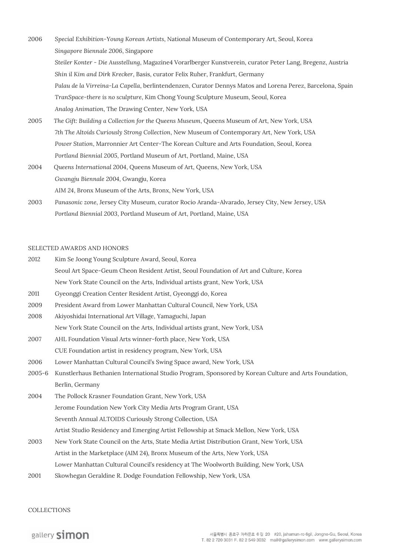- 2006 *Special Exhibition-Young Korean Artists*, National Museum of Contemporary Art, Seoul, Korea *Singapore Biennale 2006*, Singapore *Steiler Konter - Die Ausstellung*, Magazine4 Vorarlberger Kunstverein, curator Peter Lang, Bregenz, Austria *Shin il Kim and Dirk Krecker*, Basis, curator Felix Ruher, Frankfurt, Germany *Palau de la Virreina-La Capella*, berlintendenzen, Curator Dennys Matos and Lorena Perez, Barcelona, Spain *TranSpace-there is no sculpture*, Kim Chong Young Sculpture Museum, Seoul, Korea *Analog Animation*, The Drawing Center, New York, USA
- 2005 *The Gift: Building a Collection for the Queens Museum*, Queens Museum of Art, New York, USA *7th The Altoids Curiously Strong Collection*, New Museum of Contemporary Art, New York, USA *Power Station*, Marronnier Art Center-The Korean Culture and Arts Foundation, Seoul, Korea *Portland Biennial 2005*, Portland Museum of Art, Portland, Maine, USA
- 2004 *Queens International 2004*, Queens Museum of Art, Queens, New York, USA *Gwangju Biennale 2004*, Gwangju, Korea *AIM 24*, Bronx Museum of the Arts, Bronx, New York, USA
- 2003 *Panasonic zone*, Jersey City Museum, curator Rocio Aranda-Alvarado, Jersey City, New Jersey, USA *Portland Biennial 2003*, Portland Museum of Art, Portland, Maine, USA

#### **SELECTED AWARDS AND HONORS**

- 2012 Kim Se Joong Young Sculpture Award, Seoul, Korea Seoul Art Space-Geum Cheon Resident Artist, Seoul Foundation of Art and Culture, Korea New York State Council on the Arts, Individual artists grant, New York, USA
- 2011 Gyeonggi Creation Center Resident Artist, Gyeonggi do, Korea
- 2009 President Award from Lower Manhattan Cultural Council, New York, USA
- 2008 Akiyoshidai International Art Village, Yamaguchi, Japan
	- New York State Council on the Arts, Individual artists grant, New York, USA
- 2007 AHL Foundation Visual Arts winner-forth place, New York, USA CUE Foundation artist in residency program, New York, USA
- 2006 Lower Manhattan Cultural Council's Swing Space award, New York, USA
- 2005-6 Kunstlerhaus Bethanien International Studio Program, Sponsored by Korean Culture and Arts Foundation, Berlin, Germany
- 2004 The Pollock Krasner Foundation Grant, New York, USA Jerome Foundation New York City Media Arts Program Grant, USA Seventh Annual ALTOIDS Curiously Strong Collection, USA Artist Studio Residency and Emerging Artist Fellowship at Smack Mellon, New York, USA
- 2003 New York State Council on the Arts, State Media Artist Distribution Grant, New York, USA Artist in the Marketplace (AIM 24), Bronx Museum of the Arts, New York, USA Lower Manhattan Cultural Council's residency at The Woolworth Building, New York, USA
- 2001 Skowhegan Geraldine R. Dodge Foundation Fellowship, New York, USA

## **COLLECTIONS**

## gallery simon